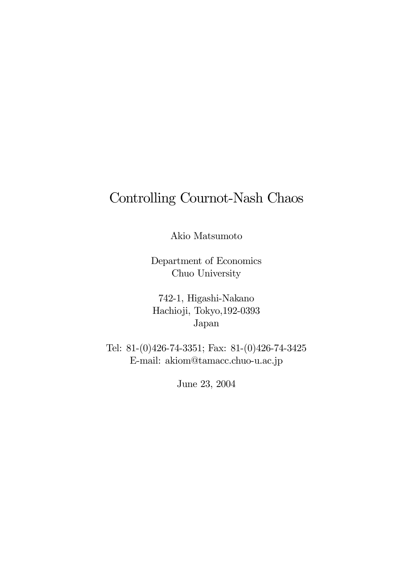# Controlling Cournot-Nash Chaos

Akio Matsumoto

Department of Economics Chuo University

742-1, Higashi-Nakano Hachioji, Tokyo,192-0393 Japan

Tel: 81-(0)426-74-3351; Fax: 81-(0)426-74-3425 E-mail: akiom@tamacc.chuo-u.ac.jp

June 23, 2004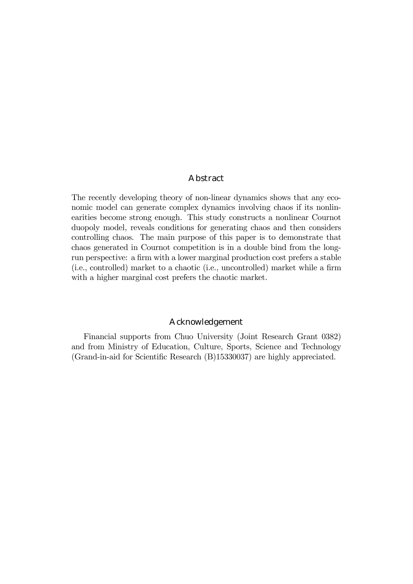#### Abstract

The recently developing theory of non-linear dynamics shows that any economic model can generate complex dynamics involving chaos if its nonlinearities become strong enough. This study constructs a nonlinear Cournot duopoly model, reveals conditions for generating chaos and then considers controlling chaos. The main purpose of this paper is to demonstrate that chaos generated in Cournot competition is in a double bind from the longrun perspective: a firm with a lower marginal production cost prefers a stable (i.e., controlled) market to a chaotic (i.e., uncontrolled) market while a firm with a higher marginal cost prefers the chaotic market.

#### Acknowledgement

Financial supports from Chuo University (Joint Research Grant 0382) and from Ministry of Education, Culture, Sports, Science and Technology (Grand-in-aid for Scientific Research (B)15330037) are highly appreciated.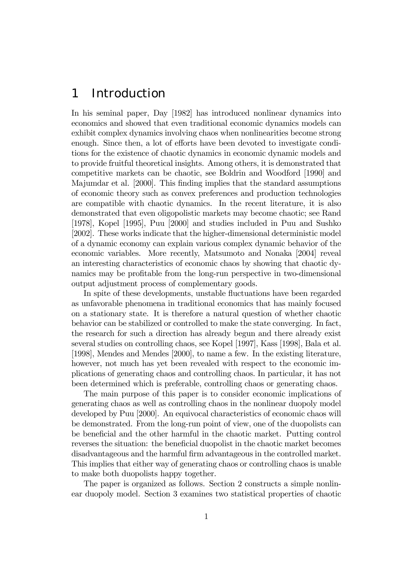### 1 Introduction

In his seminal paper, Day [1982] has introduced nonlinear dynamics into economics and showed that even traditional economic dynamics models can exhibit complex dynamics involving chaos when nonlinearities become strong enough. Since then, a lot of efforts have been devoted to investigate conditions for the existence of chaotic dynamics in economic dynamic models and to provide fruitful theoretical insights. Among others, it is demonstrated that competitive markets can be chaotic, see Boldrin and Woodford [1990] and Majumdar et al. [2000]. This finding implies that the standard assumptions of economic theory such as convex preferences and production technologies are compatible with chaotic dynamics. In the recent literature, it is also demonstrated that even oligopolistic markets may become chaotic; see Rand [1978], Kopel [1995], Puu [2000] and studies included in Puu and Sushko [2002]. These works indicate that the higher-dimensional deterministic model of a dynamic economy can explain various complex dynamic behavior of the economic variables. More recently, Matsumoto and Nonaka [2004] reveal an interesting characteristics of economic chaos by showing that chaotic dynamics may be profitable from the long-run perspective in two-dimensional output adjustment process of complementary goods.

In spite of these developments, unstable fluctuations have been regarded as unfavorable phenomena in traditional economics that has mainly focused on a stationary state. It is therefore a natural question of whether chaotic behavior can be stabilized or controlled to make the state converging. In fact, the research for such a direction has already begun and there already exist several studies on controlling chaos, see Kopel [1997], Kass [1998], Bala et al. [1998], Mendes and Mendes [2000], to name a few. In the existing literature, however, not much has yet been revealed with respect to the economic implications of generating chaos and controlling chaos. In particular, it has not been determined which is preferable, controlling chaos or generating chaos.

The main purpose of this paper is to consider economic implications of generating chaos as well as controlling chaos in the nonlinear duopoly model developed by Puu [2000]. An equivocal characteristics of economic chaos will be demonstrated. From the long-run point of view, one of the duopolists can be beneficial and the other harmful in the chaotic market. Putting control reverses the situation: the beneficial duopolist in the chaotic market becomes disadvantageous and the harmful firm advantageous in the controlled market. This implies that either way of generating chaos or controlling chaos is unable to make both duopolists happy together.

The paper is organized as follows. Section 2 constructs a simple nonlinear duopoly model. Section 3 examines two statistical properties of chaotic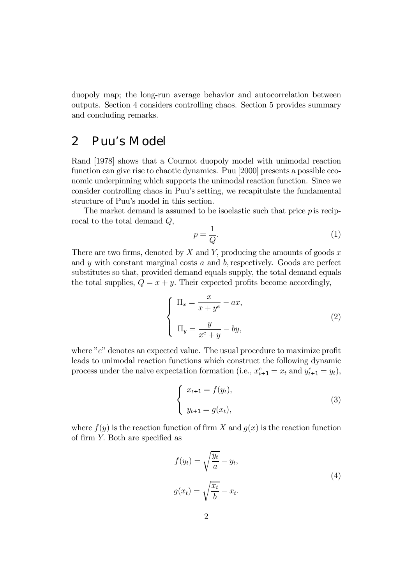duopoly map; the long-run average behavior and autocorrelation between outputs. Section 4 considers controlling chaos. Section 5 provides summary and concluding remarks.

### 2 Puu's Model

Rand [1978] shows that a Cournot duopoly model with unimodal reaction function can give rise to chaotic dynamics. Puu [2000] presents a possible economic underpinning which supports the unimodal reaction function. Since we consider controlling chaos in Puu's setting, we recapitulate the fundamental structure of Puu's model in this section.

The market demand is assumed to be isoelastic such that price  $p$  is reciprocal to the total demand Q,

$$
p = \frac{1}{Q}.\tag{1}
$$

There are two firms, denoted by  $X$  and  $Y$ , producing the amounts of goods  $x$ and  $y$  with constant marginal costs  $a$  and  $b$ , respectively. Goods are perfect substitutes so that, provided demand equals supply, the total demand equals the total supplies,  $Q = x + y$ . Their expected profits become accordingly,

$$
\begin{cases}\n\Pi_x = \frac{x}{x+y^e} - ax, \\
\Pi_y = \frac{y}{x^e + y} - by,\n\end{cases}
$$
\n(2)

where "e" denotes an expected value. The usual procedure to maximize profit leads to unimodal reaction functions which construct the following dynamic process under the naive expectation formation (i.e.,  $x_{t+1}^e = x_t$  and  $y_{t+1}^e = y_t$ ),

$$
\begin{cases}\nx_{t+1} = f(y_t), \\
y_{t+1} = g(x_t),\n\end{cases}
$$
\n(3)

where  $f(y)$  is the reaction function of firm X and  $g(x)$  is the reaction function of firm Y. Both are specified as

$$
f(y_t) = \sqrt{\frac{y_t}{a}} - y_t,
$$
  

$$
g(x_t) = \sqrt{\frac{x_t}{b}} - x_t.
$$
 (4)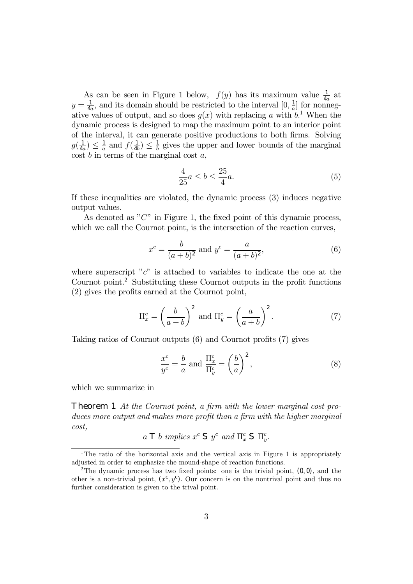As can be seen in Figure 1 below,  $f(y)$  has its maximum value  $\frac{1}{4a}$  at  $y = \frac{1}{4a}$ , and its domain should be restricted to the interval  $[0, \frac{1}{a}]$  for nonnegative values of output, and so does  $g(x)$  with replacing a with  $b<sup>1</sup>$ . When the dynamic process is designed to map the maximum point to an interior point of the interval, it can generate positive productions to both firms. Solving  $g(\frac{1}{4a}) \leq \frac{1}{a}$  and  $f(\frac{1}{4b}) \leq \frac{1}{b}$  gives the upper and lower bounds of the marginal  $\cos t$  *b* in terms of the marginal cost  $a$ ,

$$
\frac{4}{25}a \le b \le \frac{25}{4}a. \tag{5}
$$

If these inequalities are violated, the dynamic process (3) induces negative output values.

As denoted as " $C$ " in Figure 1, the fixed point of this dynamic process, which we call the Cournot point, is the intersection of the reaction curves,

$$
x^{c} = \frac{b}{(a+b)^{2}} \text{ and } y^{c} = \frac{a}{(a+b)^{2}},
$$
 (6)

where superscript " $c$ " is attached to variables to indicate the one at the Cournot point.<sup>2</sup> Substituting these Cournot outputs in the profit functions (2) gives the profits earned at the Cournot point,

$$
\Pi_x^c = \left(\frac{b}{a+b}\right)^2 \text{ and } \Pi_y^c = \left(\frac{a}{a+b}\right)^2. \tag{7}
$$

Taking ratios of Cournot outputs (6) and Cournot profits (7) gives

$$
\frac{x^c}{y^c} = \frac{b}{a} \text{ and } \frac{\Pi_x^c}{\Pi_y^c} = \left(\frac{b}{a}\right)^2,\tag{8}
$$

which we summarize in

Theorem 1 At the Cournot point, a firm with the lower marginal cost produces more output and makes more profit than a firm with the higher marginal cost,

$$
a \top b
$$
 implies  $x^c \mathbf{S} y^c$  and  $\Pi_x^c \mathbf{S} \Pi_y^c$ .

<sup>&</sup>lt;sup>1</sup>The ratio of the horizontal axis and the vertical axis in Figure 1 is appropriately adjusted in order to emphasize the mound-shape of reaction functions.

<sup>&</sup>lt;sup>2</sup>The dynamic process has two fixed points: one is the trivial point,  $(0,0)$ , and the other is a non-trivial point,  $(x^c, y^c)$ . Our concern is on the nontrival point and thus no further consideration is given to the trival point.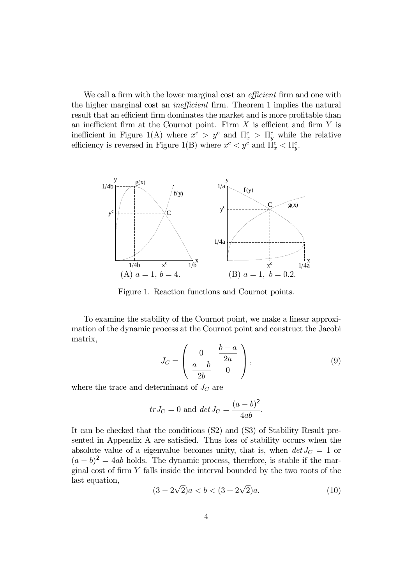We call a firm with the lower marginal cost an *efficient* firm and one with the higher marginal cost an inefficient firm. Theorem 1 implies the natural result that an efficient firm dominates the market and is more profitable than an inefficient firm at the Cournot point. Firm  $X$  is efficient and firm  $Y$  is inefficient in Figure 1(A) where  $x^c > y^c$  and  $\Pi_x^c > \Pi_y^c$  while the relative efficiency is reversed in Figure 1(B) where  $x^c < y^c$  and  $\Pi_x^c < \Pi_y^c$ .



Figure 1. Reaction functions and Cournot points.

To examine the stability of the Cournot point, we make a linear approximation of the dynamic process at the Cournot point and construct the Jacobi matrix,

$$
J_C = \begin{pmatrix} 0 & \frac{b-a}{2a} \\ \frac{a-b}{2b} & 0 \end{pmatrix},
$$
 (9)

where the trace and determinant of  $J_C$  are

$$
tr J_C = 0
$$
 and  $det J_C = \frac{(a-b)^2}{4ab}$ .

It can be checked that the conditions (S2) and (S3) of Stability Result presented in Appendix A are satisfied. Thus loss of stability occurs when the absolute value of a eigenvalue becomes unity, that is, when  $det J_C = 1$  or  $(a - b)^2 = 4ab$  holds. The dynamic process, therefore, is stable if the marginal cost of firm  $Y$  falls inside the interval bounded by the two roots of the last equation,

$$
(3 - 2\sqrt{2})a < b < (3 + 2\sqrt{2})a. \tag{10}
$$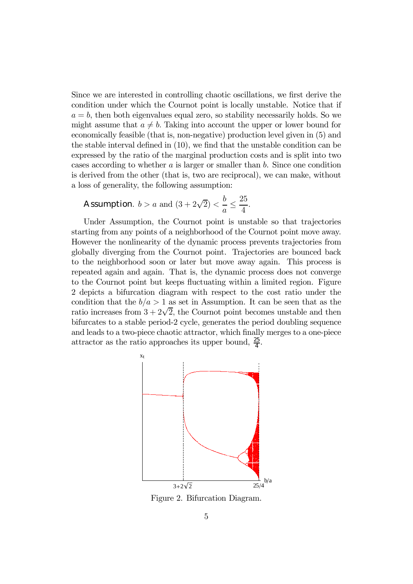Since we are interested in controlling chaotic oscillations, we first derive the condition under which the Cournot point is locally unstable. Notice that if  $a = b$ , then both eigenvalues equal zero, so stability necessarily holds. So we might assume that  $a \neq b$ . Taking into account the upper or lower bound for economically feasible (that is, non-negative) production level given in (5) and the stable interval defined in (10), we find that the unstable condition can be expressed by the ratio of the marginal production costs and is split into two cases according to whether a is larger or smaller than b. Since one condition is derived from the other (that is, two are reciprocal), we can make, without a loss of generality, the following assumption:

**Assumption.** 
$$
b > a
$$
 and  $(3 + 2\sqrt{2}) < \frac{b}{a} \le \frac{25}{4}$ .

Under Assumption, the Cournot point is unstable so that trajectories starting from any points of a neighborhood of the Cournot point move away. However the nonlinearity of the dynamic process prevents trajectories from globally diverging from the Cournot point. Trajectories are bounced back to the neighborhood soon or later but move away again. This process is repeated again and again. That is, the dynamic process does not converge to the Cournot point but keeps fluctuating within a limited region. Figure 2 depicts a bifurcation diagram with respect to the cost ratio under the condition that the  $b/a > 1$  as set in Assumption. It can be seen that as the ratio increases from  $3+2\sqrt{2}$ , the Cournot point becomes unstable and then bifurcates to a stable period-2 cycle, generates the period doubling sequence and leads to a two-piece chaotic attractor, which finally merges to a one-piece attractor as the ratio approaches its upper bound,  $\frac{25}{4}$ .



Figure 2. Bifurcation Diagram.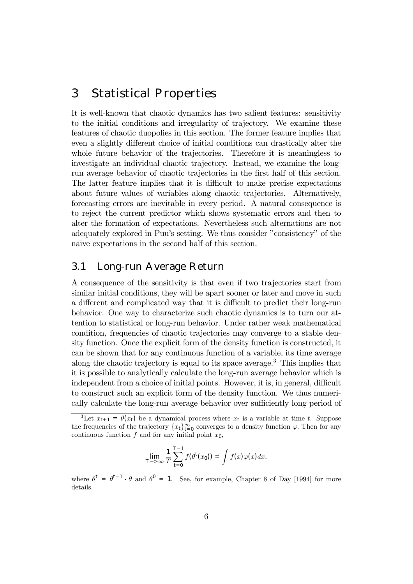## 3 Statistical Properties

It is well-known that chaotic dynamics has two salient features: sensitivity to the initial conditions and irregularity of trajectory. We examine these features of chaotic duopolies in this section. The former feature implies that even a slightly different choice of initial conditions can drastically alter the whole future behavior of the trajectories. Therefore it is meaningless to investigate an individual chaotic trajectory. Instead, we examine the longrun average behavior of chaotic trajectories in the first half of this section. The latter feature implies that it is difficult to make precise expectations about future values of variables along chaotic trajectories. Alternatively, forecasting errors are inevitable in every period. A natural consequence is to reject the current predictor which shows systematic errors and then to alter the formation of expectations. Nevertheless such alternations are not adequately explored in Puu's setting. We thus consider "consistency" of the naive expectations in the second half of this section.

#### 3.1 Long-run Average Return

A consequence of the sensitivity is that even if two trajectories start from similar initial conditions, they will be apart sooner or later and move in such a different and complicated way that it is difficult to predict their long-run behavior. One way to characterize such chaotic dynamics is to turn our attention to statistical or long-run behavior. Under rather weak mathematical condition, frequencies of chaotic trajectories may converge to a stable density function. Once the explicit form of the density function is constructed, it can be shown that for any continuous function of a variable, its time average along the chaotic trajectory is equal to its space average.3 This implies that it is possible to analytically calculate the long-run average behavior which is independent from a choice of initial points. However, it is, in general, difficult to construct such an explicit form of the density function. We thus numerically calculate the long-run average behavior over sufficiently long period of

$$
\lim_{T\to\infty}\frac{1}{T}\sum_{t=0}^{T-1}f(\theta^t(x_0))=\int f(x)\varphi(x)dx,
$$

where  $\theta^t = \theta^{t-1} \cdot \theta$  and  $\theta^0 = 1$ . See, for example, Chapter 8 of Day [1994] for more details.

<sup>&</sup>lt;sup>3</sup>Let  $x_{t+1} = \theta(x_t)$  be a dynamical process where  $x_t$  is a variable at time t. Suppose the frequencies of the trajectory  $\{x_t\}_{t=0}^{\infty}$  converges to a density function  $\varphi$ . Then for any continuous function  $f$  and for any initial point  $x_0$ ,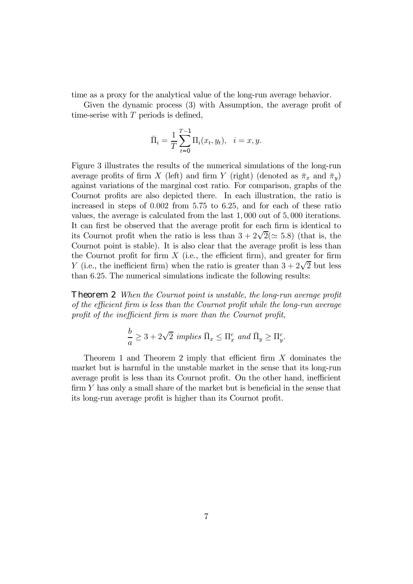time as a proxy for the analytical value of the long-run average behavior.

Given the dynamic process (3) with Assumption, the average profit of time-serise with  $T$  periods is defined,

$$
\bar{\Pi}_i = \frac{1}{T} \sum_{t=0}^{T-1} \Pi_i(x_t, y_t), \quad i = x, y.
$$

Figure 3 illustrates the results of the numerical simulations of the long-run average profits of firm X (left) and firm Y (right) (denoted as  $\bar{\pi}_x$  and  $\bar{\pi}_y$ ) against variations of the marginal cost ratio. For comparison, graphs of the Cournot profits are also depicted there. In each illustration, the ratio is increased in steps of 0.002 from 5.75 to 6.25, and for each of these ratio values, the average is calculated from the last 1, 000 out of 5, 000 iterations. It can first be observed that the average profit for each firm is identical to its Cournot profit when the ratio is less than  $3+2\sqrt{2}(\simeq 5.8)$  (that is, the Cournot point is stable). It is also clear that the average profit is less than the Cournot profit for firm  $X$  (i.e., the efficient firm), and greater for firm Y (i.e., the inefficient firm) when the ratio is greater than  $3+2\sqrt{2}$  but less than 6.25. The numerical simulations indicate the following results:

**Theorem 2** When the Cournot point is unstable, the long-run average profit of the efficient firm is less than the Cournot profit while the long-run average profit of the inefficient firm is more than the Cournot profit,

$$
\frac{b}{a} \ge 3 + 2\sqrt{2} \implies \bar{\Pi}_x \le \Pi_x^c \text{ and } \bar{\Pi}_y \ge \Pi_y^c.
$$

Theorem 1 and Theorem 2 imply that efficient firm  $X$  dominates the market but is harmful in the unstable market in the sense that its long-run average profit is less than its Cournot profit. On the other hand, inefficient firm Y has only a small share of the market but is beneficial in the sense that its long-run average profit is higher than its Cournot profit.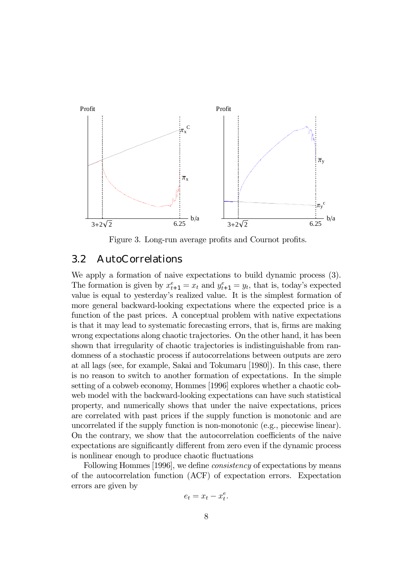

Figure 3. Long-run average profits and Cournot profits.

#### 3.2 AutoCorrelations

We apply a formation of naive expectations to build dynamic process (3). The formation is given by  $x_{t+1}^e = x_t$  and  $y_{t+1}^e = y_t$ , that is, today's expected value is equal to yesterday's realized value. It is the simplest formation of more general backward-looking expectations where the expected price is a function of the past prices. A conceptual problem with native expectations is that it may lead to systematic forecasting errors, that is, firms are making wrong expectations along chaotic trajectories. On the other hand, it has been shown that irregularity of chaotic trajectories is indistinguishable from randomness of a stochastic process if autocorrelations between outputs are zero at all lags (see, for example, Sakai and Tokumaru [1980]). In this case, there is no reason to switch to another formation of expectations. In the simple setting of a cobweb economy, Hommes [1996] explores whether a chaotic cobweb model with the backward-looking expectations can have such statistical property, and numerically shows that under the naive expectations, prices are correlated with past prices if the supply function is monotonic and are uncorrelated if the supply function is non-monotonic (e.g., piecewise linear). On the contrary, we show that the autocorrelation coefficients of the naive expectations are significantly different from zero even if the dynamic process is nonlinear enough to produce chaotic fluctuations

Following Hommes [1996], we define consistency of expectations by means of the autocorrelation function (ACF) of expectation errors. Expectation errors are given by

$$
e_t = x_t - x_t^e.
$$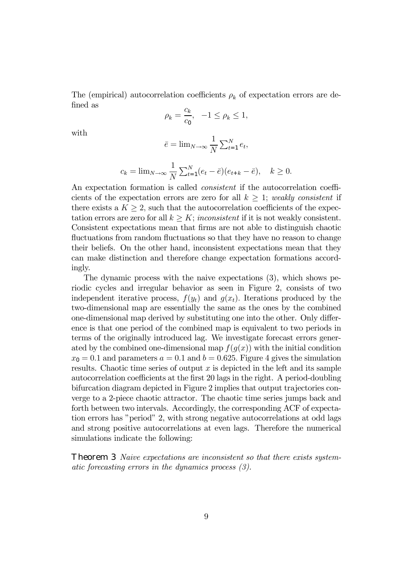The (empirical) autocorrelation coefficients  $\rho_k$  of expectation errors are defined as

$$
\rho_k = \frac{c_k}{c_0}, \quad -1 \le \rho_k \le 1,
$$

with

$$
\bar{e} = \lim_{N \to \infty} \frac{1}{N} \sum_{t=1}^{N} e_t,
$$

$$
c_k = \lim_{N \to \infty} \frac{1}{N} \sum_{t=1}^N (e_t - \bar{e})(e_{t+k} - \bar{e}), \quad k \ge 0.
$$

An expectation formation is called consistent if the autocorrelation coefficients of the expectation errors are zero for all  $k \geq 1$ ; weakly consistent if there exists a  $K \geq 2$ , such that the autocorrelation coefficients of the expectation errors are zero for all  $k \geq K$ ; *inconsistent* if it is not weakly consistent. Consistent expectations mean that firms are not able to distinguish chaotic fluctuations from random fluctuations so that they have no reason to change their beliefs. On the other hand, inconsistent expectations mean that they can make distinction and therefore change expectation formations accordingly.

The dynamic process with the naive expectations (3), which shows periodic cycles and irregular behavior as seen in Figure 2, consists of two independent iterative process,  $f(y_t)$  and  $g(x_t)$ . Iterations produced by the two-dimensional map are essentially the same as the ones by the combined one-dimensional map derived by substituting one into the other. Only difference is that one period of the combined map is equivalent to two periods in terms of the originally introduced lag. We investigate forecast errors generated by the combined one-dimensional map  $f(g(x))$  with the initial condition  $x_0 = 0.1$  and parameters  $a = 0.1$  and  $b = 0.625$ . Figure 4 gives the simulation results. Chaotic time series of output  $x$  is depicted in the left and its sample autocorrelation coefficients at the first 20 lags in the right. A period-doubling bifurcation diagram depicted in Figure 2 implies that output trajectories converge to a 2-piece chaotic attractor. The chaotic time series jumps back and forth between two intervals. Accordingly, the corresponding ACF of expectation errors has "period" 2, with strong negative autocorrelations at odd lags and strong positive autocorrelations at even lags. Therefore the numerical simulations indicate the following:

**Theorem 3** Naive expectations are inconsistent so that there exists systematic forecasting errors in the dynamics process (3).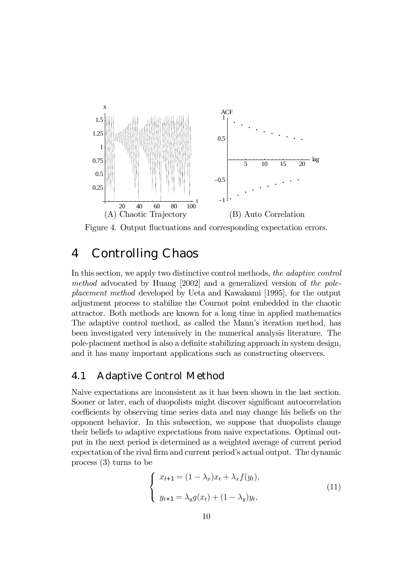

Figure 4. Output fluctuations and corresponding expectation errors.

## 4 Controlling Chaos

In this section, we apply two distinctive control methods, the adaptive control method advocated by Huang [2002] and a generalized version of the poleplacement method developed by Ueta and Kawakami [1995], for the output adjustment process to stabilize the Cournot point embedded in the chaotic attractor. Both methods are known for a long time in applied mathematics The adaptive control method, as called the Mann's iteration method, has been investigated very intensively in the numerical analysis literature. The pole-placment method is also a definite stabilizing approach in system design, and it has many important applications such as constructing observers.

### 4.1 Adaptive Control Method

Naive expectations are inconsistent as it has been shown in the last section. Sooner or later, each of duopolists might discover significant autocorrelation coefficients by observing time series data and may change his beliefs on the opponent behavior. In this subsection, we suppose that duopolists change their beliefs to adaptive expectations from naive expectations. Optimal output in the next period is determined as a weighted average of current period expectation of the rival firm and current period's actual output. The dynamic process (3) turns to be

$$
\begin{cases}\nx_{t+1} = (1 - \lambda_x)x_t + \lambda_x f(y_t), \\
y_{t+1} = \lambda_y g(x_t) + (1 - \lambda_y)y_t,\n\end{cases}
$$
\n(11)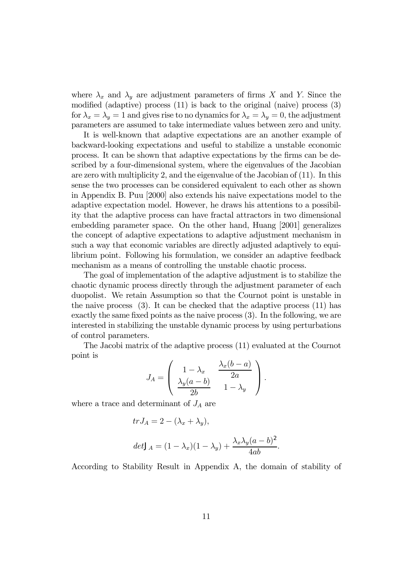where  $\lambda_x$  and  $\lambda_y$  are adjustment parameters of firms X and Y. Since the modified (adaptive) process (11) is back to the original (naive) process (3) for  $\lambda_x = \lambda_y = 1$  and gives rise to no dynamics for  $\lambda_x = \lambda_y = 0$ , the adjustment parameters are assumed to take intermediate values between zero and unity.

It is well-known that adaptive expectations are an another example of backward-looking expectations and useful to stabilize a unstable economic process. It can be shown that adaptive expectations by the firms can be described by a four-dimensional system, where the eigenvalues of the Jacobian are zero with multiplicity 2, and the eigenvalue of the Jacobian of (11). In this sense the two processes can be considered equivalent to each other as shown in Appendix B. Puu [2000] also extends his naive expectations model to the adaptive expectation model. However, he draws his attentions to a possibility that the adaptive process can have fractal attractors in two dimensional embedding parameter space. On the other hand, Huang [2001] generalizes the concept of adaptive expectations to adaptive adjustment mechanism in such a way that economic variables are directly adjusted adaptively to equilibrium point. Following his formulation, we consider an adaptive feedback mechanism as a means of controlling the unstable chaotic process.

The goal of implementation of the adaptive adjustment is to stabilize the chaotic dynamic process directly through the adjustment parameter of each duopolist. We retain Assumption so that the Cournot point is unstable in the naive process (3). It can be checked that the adaptive process (11) has exactly the same fixed points as the naive process (3). In the following, we are interested in stabilizing the unstable dynamic process by using perturbations of control parameters.

The Jacobi matrix of the adaptive process (11) evaluated at the Cournot point is

$$
J_A = \begin{pmatrix} 1 - \lambda_x & \frac{\lambda_x(b-a)}{2a} \\ \frac{\lambda_y(a-b)}{2b} & 1 - \lambda_y \end{pmatrix}.
$$

where a trace and determinant of  $J_A$  are

$$
tr J_A = 2 - (\lambda_x + \lambda_y),
$$
  

$$
det J_A = (1 - \lambda_x)(1 - \lambda_y) + \frac{\lambda_x \lambda_y (a - b)^2}{4ab}.
$$

According to Stability Result in Appendix A, the domain of stability of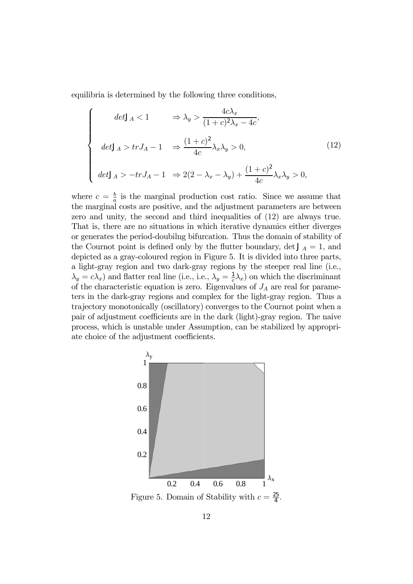equilibria is determined by the following three conditions,

$$
\begin{cases}\n\det J_A < 1 \quad \Rightarrow \lambda_y > \frac{4c\lambda_x}{(1+c)^2\lambda_x - 4c}, \\
\det J_A > trJ_A - 1 \quad \Rightarrow \frac{(1+c)^2}{4c}\lambda_x \lambda_y > 0, \\
\det J_A > -trJ_A - 1 \quad \Rightarrow 2(2 - \lambda_x - \lambda_y) + \frac{(1+c)^2}{4c}\lambda_x \lambda_y > 0,\n\end{cases}\n\tag{12}
$$

where  $c = \frac{b}{a}$  is the marginal production cost ratio. Since we assume that the marginal costs are positive, and the adjustment parameters are between zero and unity, the second and third inequalities of (12) are always true. That is, there are no situations in which iterative dynamics either diverges or generates the period-doubilng bifurcation. Thus the domain of stability of the Cournot point is defined only by the flutter boundary,  $\det J_A = 1$ , and depicted as a gray-coloured region in Figure 5. It is divided into three parts, a light-gray region and two dark-gray regions by the steeper real line (i.e.,  $\lambda_y = c\lambda_x$ ) and flatter real line (i.e., i.e.,  $\lambda_y = \frac{1}{c}\lambda_x$ ) on which the discriminant of the characteristic equation is zero. Eigenvalues of  $J_A$  are real for parameters in the dark-gray regions and complex for the light-gray region. Thus a trajectory monotonically (oscillatory) converges to the Cournot point when a pair of adjustment coefficients are in the dark (light)-gray region. The naive process, which is unstable under Assumption, can be stabilized by appropriate choice of the adjustment coefficients.



Figure 5. Domain of Stability with  $c = \frac{25}{4}$ .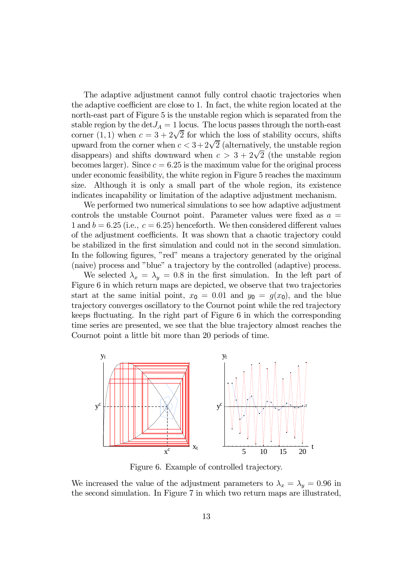The adaptive adjustment cannot fully control chaotic trajectories when the adaptive coefficient are close to 1. In fact, the white region located at the north-east part of Figure 5 is the unstable region which is separated from the stable region by the  $\det J_A = 1$  locus. The locus passes through the north-east corner (1, 1) when  $c = 3 + 2\sqrt{2}$  for which the loss of stability occurs, shifts upward from the corner when  $c < 3+2\sqrt{2}$  (alternatively, the unstable region disappears) and shifts downward when  $c > 3 + 2\sqrt{2}$  (the unstable region becomes larger). Since  $c = 6.25$  is the maximum value for the original process under economic feasibility, the white region in Figure 5 reaches the maximum size. Although it is only a small part of the whole region, its existence indicates incapability or limitation of the adaptive adjustment mechanism.

We performed two numerical simulations to see how adaptive adjustment controls the unstable Cournot point. Parameter values were fixed as  $a =$ 1 and  $b = 6.25$  (i.e.,  $c = 6.25$ ) henceforth. We then considered different values of the adjustment coefficients. It was shown that a chaotic trajectory could be stabilized in the first simulation and could not in the second simulation. In the following figures, "red" means a trajectory generated by the original (naive) process and "blue" a trajectory by the controlled (adaptive) process.

We selected  $\lambda_x = \lambda_y = 0.8$  in the first simulation. In the left part of Figure 6 in which return maps are depicted, we observe that two trajectories start at the same initial point,  $x_0 = 0.01$  and  $y_0 = g(x_0)$ , and the blue trajectory converges oscillatory to the Cournot point while the red trajectory keeps fluctuating. In the right part of Figure 6 in which the corresponding time series are presented, we see that the blue trajectory almost reaches the Cournot point a little bit more than 20 periods of time.



Figure 6. Example of controlled trajectory.

We increased the value of the adjustment parameters to  $\lambda_x = \lambda_y = 0.96$  in the second simulation. In Figure 7 in which two return maps are illustrated,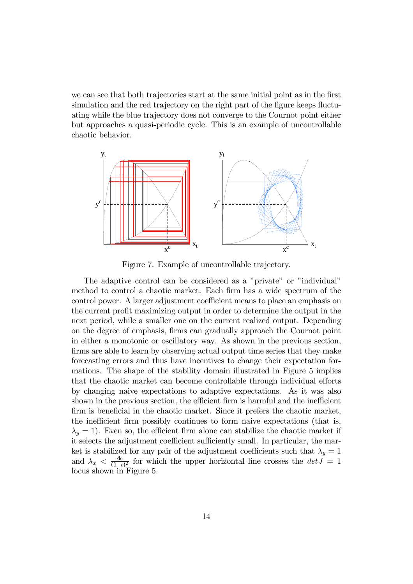we can see that both trajectories start at the same initial point as in the first simulation and the red trajectory on the right part of the figure keeps fluctuating while the blue trajectory does not converge to the Cournot point either but approaches a quasi-periodic cycle. This is an example of uncontrollable chaotic behavior.



Figure 7. Example of uncontrollable trajectory.

The adaptive control can be considered as a "private" or "individual" method to control a chaotic market. Each firm has a wide spectrum of the control power. A larger adjustment coefficient means to place an emphasis on the current profit maximizing output in order to determine the output in the next period, while a smaller one on the current realized output. Depending on the degree of emphasis, firms can gradually approach the Cournot point in either a monotonic or oscillatory way. As shown in the previous section, firms are able to learn by observing actual output time series that they make forecasting errors and thus have incentives to change their expectation formations. The shape of the stability domain illustrated in Figure 5 implies that the chaotic market can become controllable through individual efforts by changing naive expectations to adaptive expectations. As it was also shown in the previous section, the efficient firm is harmful and the inefficient firm is beneficial in the chaotic market. Since it prefers the chaotic market, the inefficient firm possibly continues to form naive expectations (that is,  $\lambda_y = 1$ ). Even so, the efficient firm alone can stabilize the chaotic market if it selects the adjustment coefficient sufficiently small. In particular, the market is stabilized for any pair of the adjustment coefficients such that  $\lambda_y = 1$ and  $\lambda_x < \frac{4c}{(1-c)^2}$  for which the upper horizontal line crosses the  $det J = 1$ locus shown in Figure 5.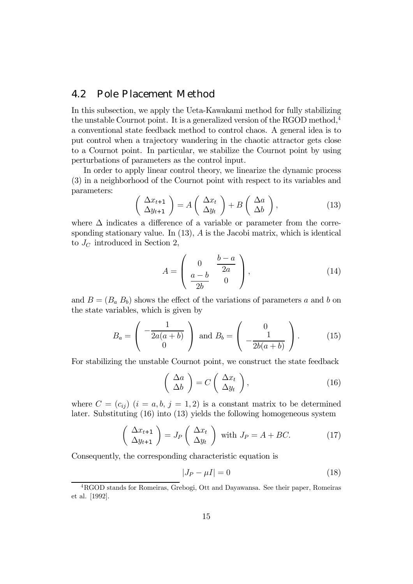#### 4.2 Pole Placement Method

In this subsection, we apply the Ueta-Kawakami method for fully stabilizing the unstable Cournot point. It is a generalized version of the RGOD method,4 a conventional state feedback method to control chaos. A general idea is to put control when a trajectory wandering in the chaotic attractor gets close to a Cournot point. In particular, we stabilize the Cournot point by using perturbations of parameters as the control input.

In order to apply linear control theory, we linearize the dynamic process (3) in a neighborhood of the Cournot point with respect to its variables and parameters:

$$
\left(\begin{array}{c}\Delta x_{t+1} \\ \Delta y_{t+1}\end{array}\right) = A \left(\begin{array}{c}\Delta x_t \\ \Delta y_t\end{array}\right) + B \left(\begin{array}{c}\Delta a \\ \Delta b\end{array}\right),\tag{13}
$$

where  $\Delta$  indicates a difference of a variable or parameter from the corresponding stationary value. In (13), A is the Jacobi matrix, which is identical to  $J_C$  introduced in Section 2,

$$
A = \begin{pmatrix} 0 & \frac{b-a}{2a} \\ \frac{a-b}{2b} & 0 \end{pmatrix},
$$
 (14)

and  $B = (B_a B_b)$  shows the effect of the variations of parameters a and b on the state variables, which is given by

$$
B_a = \begin{pmatrix} -\frac{1}{2a(a+b)} \\ 0 \end{pmatrix} \text{ and } B_b = \begin{pmatrix} 0 \\ -\frac{1}{2b(a+b)} \end{pmatrix}.
$$
 (15)

For stabilizing the unstable Cournot point, we construct the state feedback

$$
\left(\begin{array}{c}\Delta a\\ \Delta b\end{array}\right) = C\left(\begin{array}{c}\Delta x_t\\ \Delta y_t\end{array}\right),\tag{16}
$$

where  $C = (c_{ij})$   $(i = a, b, j = 1, 2)$  is a constant matrix to be determined later. Substituting (16) into (13) yields the following homogeneous system

$$
\left(\begin{array}{c}\Delta x_{t+1} \\ \Delta y_{t+1}\end{array}\right) = J_P\left(\begin{array}{c}\Delta x_t \\ \Delta y_t\end{array}\right) \text{ with } J_P = A + BC. \tag{17}
$$

Consequently, the corresponding characteristic equation is

$$
|J_P - \mu I| = 0 \tag{18}
$$

<sup>4</sup>RGOD stands for Romeiras, Grebogi, Ott and Dayawansa. See their paper, Romeiras et al. [1992].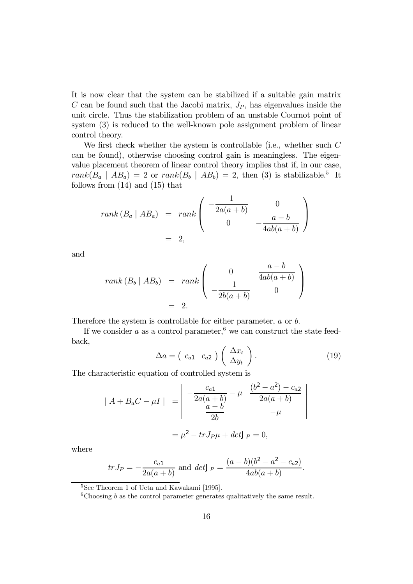It is now clear that the system can be stabilized if a suitable gain matrix C can be found such that the Jacobi matrix,  $J_P$ , has eigenvalues inside the unit circle. Thus the stabilization problem of an unstable Cournot point of system (3) is reduced to the well-known pole assignment problem of linear control theory.

We first check whether the system is controllable (i.e., whether such C can be found), otherwise choosing control gain is meaningless. The eigenvalue placement theorem of linear control theory implies that if, in our case,  $rank(B_a | AB_a) = 2$  or  $rank(B_b | AB_b) = 2$ , then (3) is stabilizable.<sup>5</sup> It follows from (14) and (15) that

$$
rank (B_a | AB_a) = rank \begin{pmatrix} -\frac{1}{2a(a+b)} & 0 \\ 0 & -\frac{a-b}{4ab(a+b)} \end{pmatrix}
$$
  
= 2,

and

$$
rank(B_b | AB_b) = rank \begin{pmatrix} 0 & \frac{a-b}{4ab(a+b)} \\ -\frac{1}{2b(a+b)} & 0 \end{pmatrix}
$$
  
= 2.

Therefore the system is controllable for either parameter, a or b.

If we consider a as a control parameter,<sup>6</sup> we can construct the state feedback,

$$
\Delta a = \begin{pmatrix} c_{a1} & c_{a2} \end{pmatrix} \begin{pmatrix} \Delta x_t \\ \Delta y_t \end{pmatrix} . \tag{19}
$$

¯  $\frac{1}{2}$  $\overline{\phantom{a}}$  $\mathbf{\mathbf{I}}$  $\mathbf{\mathbf{I}}$  $\mathbf{\mathbf{I}}$  $\begin{array}{c} \end{array}$ 

The characteristic equation of controlled system is

$$
| A + B_a C - \mu I | = \begin{vmatrix} -\frac{c_{a1}}{2a(a+b)} - \mu & \frac{(b^2 - a^2) - c_{a2}}{2a(a+b)} \\ \frac{a-b}{2b} & -\mu \end{vmatrix}
$$

$$
= \mu^2 - trJ_P \mu + detJ_P = 0,
$$

where

$$
tr J_P = -\frac{c_{a1}}{2a(a+b)}
$$
 and  $det J_P = \frac{(a-b)(b^2 - a^2 - c_{a2})}{4ab(a+b)}$ .

<sup>&</sup>lt;sup>5</sup>See Theorem 1 of Ueta and Kawakami [1995].

<sup>&</sup>lt;sup>6</sup>Choosing *b* as the control parameter generates qualitatively the same result.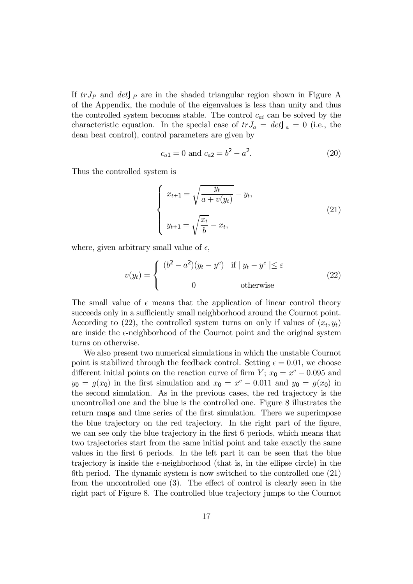If  $trJ_P$  and  $detJ_P$  are in the shaded triangular region shown in Figure A of the Appendix, the module of the eigenvalues is less than unity and thus the controlled system becomes stable. The control  $c_{ai}$  can be solved by the characteristic equation. In the special case of  $trJ_a = detJ_a = 0$  (i.e., the dean beat control), control parameters are given by

$$
c_{a1} = 0 \text{ and } c_{a2} = b^2 - a^2. \tag{20}
$$

Thus the controlled system is

$$
\begin{cases}\nx_{t+1} = \sqrt{\frac{y_t}{a + v(y_t)}} - y_t, \\
y_{t+1} = \sqrt{\frac{x_t}{b}} - x_t,\n\end{cases}
$$
\n(21)

where, given arbitrary small value of  $\epsilon$ ,

$$
v(y_t) = \begin{cases} (b^2 - a^2)(y_t - y^c) & \text{if } |y_t - y^c| \le \varepsilon \\ 0 & \text{otherwise} \end{cases}
$$
 (22)

The small value of  $\epsilon$  means that the application of linear control theory succeeds only in a sufficiently small neighborhood around the Cournot point. According to (22), the controlled system turns on only if values of  $(x_t, y_t)$ are inside the  $\epsilon$ -neighborhood of the Cournot point and the original system turns on otherwise.

We also present two numerical simulations in which the unstable Cournot point is stabilized through the feedback control. Setting  $\epsilon = 0.01$ , we choose different initial points on the reaction curve of firm  $Y$ ;  $x_0 = x^c - 0.095$  and  $y_0 = g(x_0)$  in the first simulation and  $x_0 = x^c - 0.011$  and  $y_0 = g(x_0)$  in the second simulation. As in the previous cases, the red trajectory is the uncontrolled one and the blue is the controlled one. Figure 8 illustrates the return maps and time series of the first simulation. There we superimpose the blue trajectory on the red trajectory. In the right part of the figure, we can see only the blue trajectory in the first 6 periods, which means that two trajectories start from the same initial point and take exactly the same values in the first 6 periods. In the left part it can be seen that the blue trajectory is inside the  $\epsilon$ -neighborhood (that is, in the ellipse circle) in the 6th period. The dynamic system is now switched to the controlled one (21) from the uncontrolled one (3). The effect of control is clearly seen in the right part of Figure 8. The controlled blue trajectory jumps to the Cournot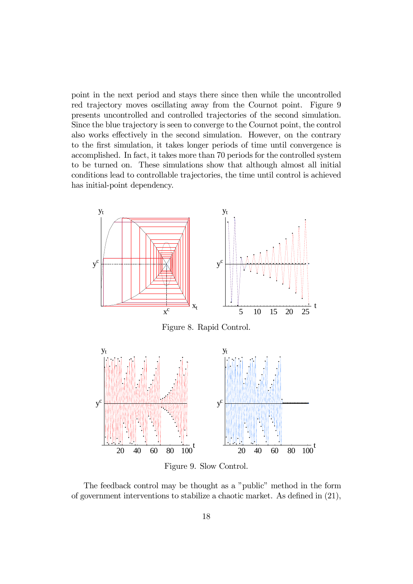point in the next period and stays there since then while the uncontrolled red trajectory moves oscillating away from the Cournot point. Figure 9 presents uncontrolled and controlled trajectories of the second simulation. Since the blue trajectory is seen to converge to the Cournot point, the control also works effectively in the second simulation. However, on the contrary to the first simulation, it takes longer periods of time until convergence is accomplished. In fact, it takes more than 70 periods for the controlled system to be turned on. These simulations show that although almost all initial conditions lead to controllable trajectories, the time until control is achieved has initial-point dependency.



Figure 9. Slow Control.

The feedback control may be thought as a "public" method in the form of government interventions to stabilize a chaotic market. As defined in (21),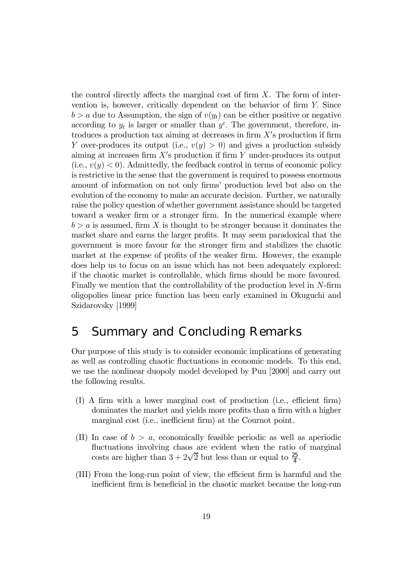the control directly affects the marginal cost of firm  $X$ . The form of intervention is, however, critically dependent on the behavior of firm Y. Since  $b > a$  due to Assumption, the sign of  $v(y_t)$  can be either positive or negative according to  $y_t$  is larger or smaller than  $y^c$ . The government, therefore, introduces a production tax aiming at decreases in firm  $X'$ s production if firm Y over-produces its output (i.e.,  $v(y) > 0$ ) and gives a production subsidy aiming at increases firm  $X$ 's production if firm Y under-produces its output (i.e.,  $v(y) < 0$ ). Admittedly, the feedback control in terms of economic policy is restrictive in the sense that the government is required to possess enormous amount of information on not only firms' production level but also on the evolution of the economy to make an accurate decision. Further, we naturally raise the policy question of whether government assistance should be targeted toward a weaker firm or a stronger firm. In the numerical example where  $b > a$  is assumed, firm X is thought to be stronger because it dominates the market share and earns the larger profits. It may seem paradoxical that the government is more favour for the stronger firm and stabilizes the chaotic market at the expense of profits of the weaker firm. However, the example does help us to focus on an issue which has not been adequately explored: if the chaotic market is controllable, which firms should be more favoured. Finally we mention that the controllability of the production level in N-firm oligopolies linear price function has been early examined in Okuguchi and Szidarovsky [1999]

## 5 Summary and Concluding Remarks

Our purpose of this study is to consider economic implications of generating as well as controlling chaotic fluctuations in economic models. To this end, we use the nonlinear duopoly model developed by Puu [2000] and carry out the following results.

- (I) A firm with a lower marginal cost of production (i.e., efficient firm) dominates the market and yields more profits than a firm with a higher marginal cost (i.e., inefficient firm) at the Cournot point.
- (II) In case of  $b > a$ , economically feasible periodic as well as aperiodic fluctuations involving chaos are evident when the ratio of marginal costs are higher than  $3 + 2\sqrt{2}$  but less than or equal to  $\frac{25}{4}$ .
- (III) From the long-run point of view, the efficient firm is harmful and the inefficient firm is beneficial in the chaotic market because the long-run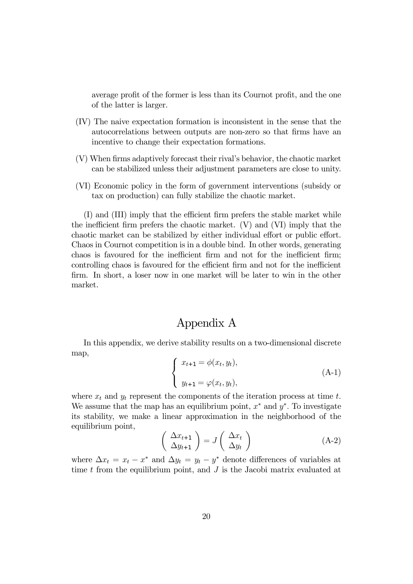average profit of the former is less than its Cournot profit, and the one of the latter is larger.

- (IV) The naive expectation formation is inconsistent in the sense that the autocorrelations between outputs are non-zero so that firms have an incentive to change their expectation formations.
- (V) When firms adaptively forecast their rival's behavior, the chaotic market can be stabilized unless their adjustment parameters are close to unity.
- (VI) Economic policy in the form of government interventions (subsidy or tax on production) can fully stabilize the chaotic market.

(I) and (III) imply that the efficient firm prefers the stable market while the inefficient firm prefers the chaotic market. (V) and (VI) imply that the chaotic market can be stabilized by either individual effort or public effort. Chaos in Cournot competition is in a double bind. In other words, generating chaos is favoured for the inefficient firm and not for the inefficient firm; controlling chaos is favoured for the efficient firm and not for the inefficient firm. In short, a loser now in one market will be later to win in the other market.

### Appendix A

In this appendix, we derive stability results on a two-dimensional discrete map,

$$
\begin{cases}\nx_{t+1} = \phi(x_t, y_t), \\
y_{t+1} = \varphi(x_t, y_t),\n\end{cases} \tag{A-1}
$$

where  $x_t$  and  $y_t$  represent the components of the iteration process at time t. We assume that the map has an equilibrium point,  $x^*$  and  $y^*$ . To investigate its stability, we make a linear approximation in the neighborhood of the equilibrium point,

$$
\left(\begin{array}{c}\Delta x_{t+1} \\ \Delta y_{t+1}\end{array}\right) = J\left(\begin{array}{c}\Delta x_t \\ \Delta y_t\end{array}\right) \tag{A-2}
$$

where  $\Delta x_t = x_t - x^*$  and  $\Delta y_t = y_t - y^*$  denote differences of variables at time  $t$  from the equilibrium point, and  $J$  is the Jacobi matrix evaluated at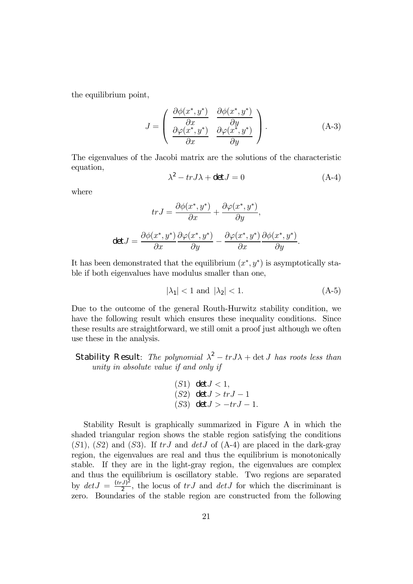the equilibrium point,

$$
J = \begin{pmatrix} \frac{\partial \phi(x^*, y^*)}{\partial x} & \frac{\partial \phi(x^*, y^*)}{\partial y} \\ \frac{\partial \varphi(x^*, y^*)}{\partial x} & \frac{\partial \varphi(x^*, y^*)}{\partial y} \end{pmatrix} .
$$
 (A-3)

The eigenvalues of the Jacobi matrix are the solutions of the characteristic equation,

$$
\lambda^2 - trJ\lambda + \det J = 0 \tag{A-4}
$$

where

$$
trJ = \frac{\partial \phi(x^*, y^*)}{\partial x} + \frac{\partial \varphi(x^*, y^*)}{\partial y},
$$

$$
\det J = \frac{\partial \phi(x^*, y^*)}{\partial x} \frac{\partial \varphi(x^*, y^*)}{\partial y} - \frac{\partial \varphi(x^*, y^*)}{\partial x} \frac{\partial \phi(x^*, y^*)}{\partial y}.
$$

It has been demonstrated that the equilibrium  $(x^*, y^*)$  is asymptotically stable if both eigenvalues have modulus smaller than one,

$$
|\lambda_1| < 1 \text{ and } |\lambda_2| < 1. \tag{A-5}
$$

Due to the outcome of the general Routh-Hurwitz stability condition, we have the following result which ensures these inequality conditions. Since these results are straightforward, we still omit a proof just although we often use these in the analysis.

**Stability Result**: The polynomial  $\lambda^2 - trJ\lambda + \det J$  has roots less than unity in absolute value if and only if

$$
(S1) det J < 1,(S2) det J > tr J - 1(S3) det J > -tr J - 1.
$$

Stability Result is graphically summarized in Figure A in which the shaded triangular region shows the stable region satisfying the conditions  $(S1), (S2)$  and  $(S3)$ . If  $trJ$  and  $detJ$  of  $(A-4)$  are placed in the dark-gray region, the eigenvalues are real and thus the equilibrium is monotonically stable. If they are in the light-gray region, the eigenvalues are complex and thus the equilibrium is oscillatory stable. Two regions are separated by  $det J = \frac{(trJ)^2}{2}$ , the locus of  $trJ$  and  $det J$  for which the discriminant is zero. Boundaries of the stable region are constructed from the following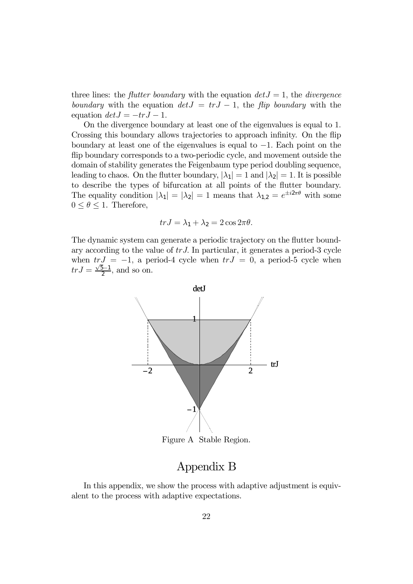three lines: the *flutter boundary* with the equation  $det J = 1$ , the *divergence* boundary with the equation  $detJ = trJ - 1$ , the flip boundary with the equation  $det J = -tr J - 1$ .

On the divergence boundary at least one of the eigenvalues is equal to 1. Crossing this boundary allows trajectories to approach infinity. On the flip boundary at least one of the eigenvalues is equal to −1. Each point on the flip boundary corresponds to a two-periodic cycle, and movement outside the domain of stability generates the Feigenbaum type period doubling sequence, leading to chaos. On the flutter boundary,  $|\lambda_1| = 1$  and  $|\lambda_2| = 1$ . It is possible to describe the types of bifurcation at all points of the flutter boundary. The equality condition  $|\lambda_1| = |\lambda_2| = 1$  means that  $\lambda_{1,2} = e^{\pm i2\pi\theta}$  with some  $0 \leq \theta \leq 1$ . Therefore,

$$
tr J = \lambda_1 + \lambda_2 = 2 \cos 2\pi \theta.
$$

The dynamic system can generate a periodic trajectory on the flutter boundary according to the value of  $trJ$ . In particular, it generates a period-3 cycle when  $trJ = -1$ , a period-4 cycle when  $trJ = 0$ , a period-5 cycle when  $trJ = \frac{\sqrt{5}-1}{2}$ , and so on.



Figure A Stable Region.

### Appendix B

In this appendix, we show the process with adaptive adjustment is equivalent to the process with adaptive expectations.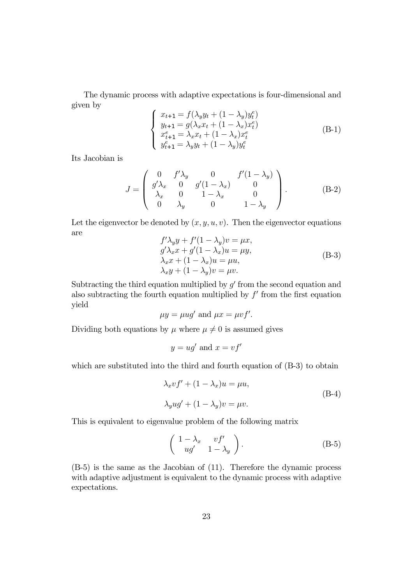The dynamic process with adaptive expectations is four-dimensional and given by

$$
\begin{cases}\nx_{t+1} = f(\lambda_y y_t + (1 - \lambda_y) y_t^e) \\
y_{t+1} = g(\lambda_x x_t + (1 - \lambda_x) x_t^e) \\
x_{t+1}^e = \lambda_x x_t + (1 - \lambda_x) x_t^e \\
y_{t+1}^e = \lambda_y y_t + (1 - \lambda_y) y_t^e\n\end{cases}
$$
\n(B-1)

Its Jacobian is

$$
J = \begin{pmatrix} 0 & f'\lambda_y & 0 & f'(1-\lambda_y) \\ g'\lambda_x & 0 & g'(1-\lambda_x) & 0 \\ \lambda_x & 0 & 1-\lambda_x & 0 \\ 0 & \lambda_y & 0 & 1-\lambda_y \end{pmatrix}.
$$
 (B-2)

Let the eigenvector be denoted by  $(x, y, u, v)$ . Then the eigenvector equations are

$$
f'\lambda_y y + f'(1 - \lambda_y)v = \mu x,
$$
  
\n
$$
g'\lambda_x x + g'(1 - \lambda_x)u = \mu y,
$$
  
\n
$$
\lambda_x x + (1 - \lambda_x)u = \mu u,
$$
  
\n
$$
\lambda_x y + (1 - \lambda_y)v = \mu v.
$$
\n(B-3)

Subtracting the third equation multiplied by  $q'$  from the second equation and also subtracting the fourth equation multiplied by  $f'$  from the first equation yield

$$
\mu y = \mu u g'
$$
 and  $\mu x = \mu v f'$ .

Dividing both equations by  $\mu$  where  $\mu \neq 0$  is assumed gives

$$
y = ug'
$$
 and  $x = vf'$ 

which are substituted into the third and fourth equation of  $(B-3)$  to obtain

$$
\lambda_x v f' + (1 - \lambda_x) u = \mu u,
$$
  
\n
$$
\lambda_y u g' + (1 - \lambda_y) v = \mu v.
$$
\n(B-4)

This is equivalent to eigenvalue problem of the following matrix

$$
\left(\begin{array}{cc} 1 - \lambda_x & v f' \\ u g' & 1 - \lambda_y \end{array}\right). \tag{B-5}
$$

(B-5) is the same as the Jacobian of (11). Therefore the dynamic process with adaptive adjustment is equivalent to the dynamic process with adaptive expectations.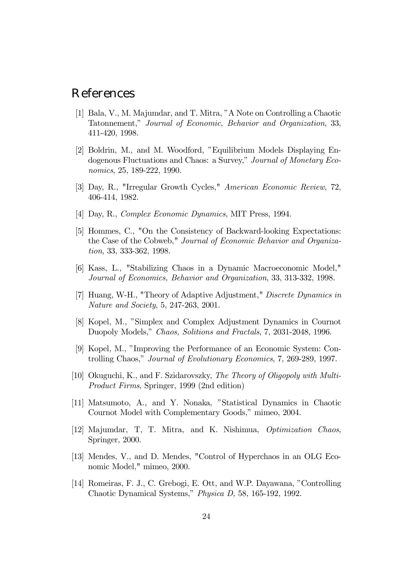### References

- [1] Bala, V., M. Majumdar, and T. Mitra, "A Note on Controlling a Chaotic Tatonnement," Journal of Economic, Behavior and Organization, 33, 411-420, 1998.
- [2] Boldrin, M., and M. Woodford, "Equilibrium Models Displaying Endogenous Fluctuations and Chaos: a Survey," Journal of Monetary Economics, 25, 189-222, 1990.
- [3] Day, R., "Irregular Growth Cycles," American Economic Review, 72, 406-414, 1982.
- [4] Day, R., Complex Economic Dynamics, MIT Press, 1994.
- [5] Hommes, C., "On the Consistency of Backward-looking Expectations: the Case of the Cobweb," Journal of Economic Behavior and Organization, 33, 333-362, 1998.
- [6] Kass, L., "Stabilizing Chaos in a Dynamic Macroeconomic Model," Journal of Economics, Behavior and Organization, 33, 313-332, 1998.
- [7] Huang, W-H., "Theory of Adaptive Adjustment," Discrete Dynamics in Nature and Society, 5, 247-263, 2001.
- [8] Kopel, M., "Simplex and Complex Adjustment Dynamics in Cournot Duopoly Models," Chaos, Solitions and Fractals, 7, 2031-2048, 1996.
- [9] Kopel, M., "Improving the Performance of an Economic System: Controlling Chaos," Journal of Evolutionary Economics, 7, 269-289, 1997.
- [10] Okuguchi, K., and F. Szidarovszky, The Theory of Oligopoly with Multi-Product Firms, Springer, 1999 (2nd edition)
- [11] Matsumoto, A., and Y. Nonaka, "Statistical Dynamics in Chaotic Cournot Model with Complementary Goods," mimeo, 2004.
- [12] Majumdar, T, T. Mitra, and K. Nishimua, Optimization Chaos, Springer, 2000.
- [13] Mendes, V., and D. Mendes, "Control of Hyperchaos in an OLG Economic Model," mimeo, 2000.
- [14] Romeiras, F. J., C. Grebogi, E. Ott, and W.P. Dayawana, "Controlling Chaotic Dynamical Systems," Physica D, 58, 165-192, 1992.